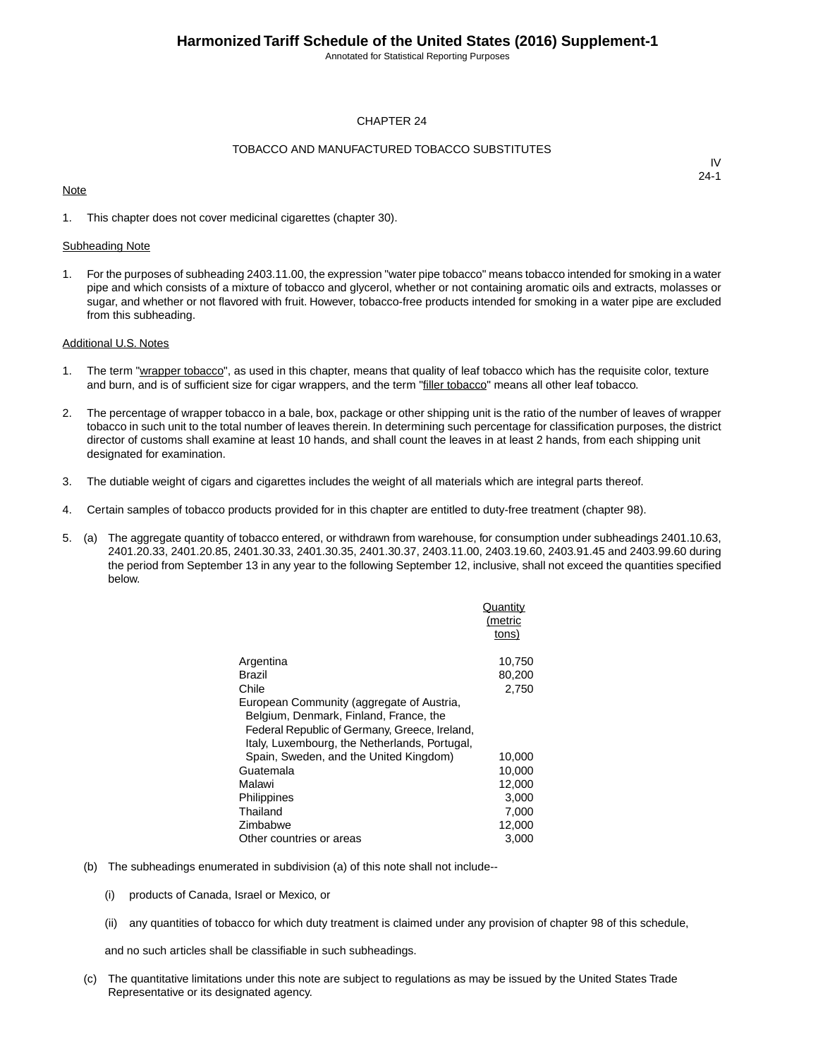Annotated for Statistical Reporting Purposes

#### CHAPTER 24

#### TOBACCO AND MANUFACTURED TOBACCO SUBSTITUTES

#### **Note**

IV 24-1

1. This chapter does not cover medicinal cigarettes (chapter 30).

#### Subheading Note

1. For the purposes of subheading 2403.11.00, the expression "water pipe tobacco" means tobacco intended for smoking in a water pipe and which consists of a mixture of tobacco and glycerol, whether or not containing aromatic oils and extracts, molasses or sugar, and whether or not flavored with fruit. However, tobacco-free products intended for smoking in a water pipe are excluded from this subheading.

#### Additional U.S. Notes

- 1. The term "wrapper tobacco", as used in this chapter, means that quality of leaf tobacco which has the requisite color, texture and burn, and is of sufficient size for cigar wrappers, and the term "filler tobacco" means all other leaf tobacco.
- 2. The percentage of wrapper tobacco in a bale, box, package or other shipping unit is the ratio of the number of leaves of wrapper tobacco in such unit to the total number of leaves therein. In determining such percentage for classification purposes, the district director of customs shall examine at least 10 hands, and shall count the leaves in at least 2 hands, from each shipping unit designated for examination.
- 3. The dutiable weight of cigars and cigarettes includes the weight of all materials which are integral parts thereof.
- 4. Certain samples of tobacco products provided for in this chapter are entitled to duty-free treatment (chapter 98).
- 5. (a) The aggregate quantity of tobacco entered, or withdrawn from warehouse, for consumption under subheadings 2401.10.63, 2401.20.33, 2401.20.85, 2401.30.33, 2401.30.35, 2401.30.37, 2403.11.00, 2403.19.60, 2403.91.45 and 2403.99.60 during the period from September 13 in any year to the following September 12, inclusive, shall not exceed the quantities specified below.

|                                               | Quantity |
|-----------------------------------------------|----------|
|                                               | (metric  |
|                                               | tons)    |
|                                               |          |
| Argentina                                     | 10,750   |
| Brazil                                        | 80,200   |
| Chile                                         | 2,750    |
| European Community (aggregate of Austria,     |          |
| Belgium, Denmark, Finland, France, the        |          |
| Federal Republic of Germany, Greece, Ireland, |          |
| Italy, Luxembourg, the Netherlands, Portugal, |          |
| Spain, Sweden, and the United Kingdom)        | 10,000   |
| Guatemala                                     | 10,000   |
| Malawi                                        | 12,000   |
| Philippines                                   | 3.000    |
| Thailand                                      | 7,000    |
| Zimbabwe                                      | 12,000   |
| Other countries or areas                      | 3,000    |

- (b) The subheadings enumerated in subdivision (a) of this note shall not include--
	- (i) products of Canada, Israel or Mexico, or
	- (ii) any quantities of tobacco for which duty treatment is claimed under any provision of chapter 98 of this schedule,

and no such articles shall be classifiable in such subheadings.

(c) The quantitative limitations under this note are subject to regulations as may be issued by the United States Trade Representative or its designated agency.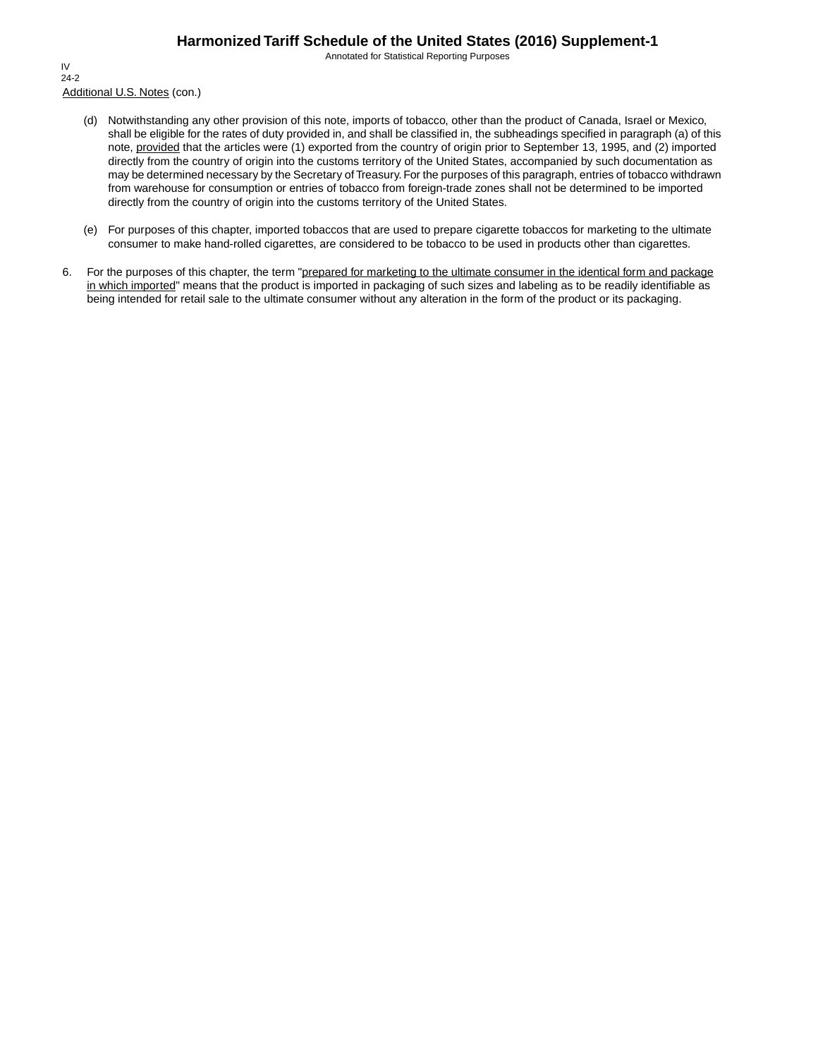Annotated for Statistical Reporting Purposes

Additional U.S. Notes (con.) IV 24-2

- (d) Notwithstanding any other provision of this note, imports of tobacco, other than the product of Canada, Israel or Mexico, shall be eligible for the rates of duty provided in, and shall be classified in, the subheadings specified in paragraph (a) of this note, provided that the articles were (1) exported from the country of origin prior to September 13, 1995, and (2) imported directly from the country of origin into the customs territory of the United States, accompanied by such documentation as may be determined necessary by the Secretary of Treasury. For the purposes of this paragraph, entries of tobacco withdrawn from warehouse for consumption or entries of tobacco from foreign-trade zones shall not be determined to be imported directly from the country of origin into the customs territory of the United States.
- (e) For purposes of this chapter, imported tobaccos that are used to prepare cigarette tobaccos for marketing to the ultimate consumer to make hand-rolled cigarettes, are considered to be tobacco to be used in products other than cigarettes.
- 6. For the purposes of this chapter, the term "prepared for marketing to the ultimate consumer in the identical form and package in which imported" means that the product is imported in packaging of such sizes and labeling as to be readily identifiable as being intended for retail sale to the ultimate consumer without any alteration in the form of the product or its packaging.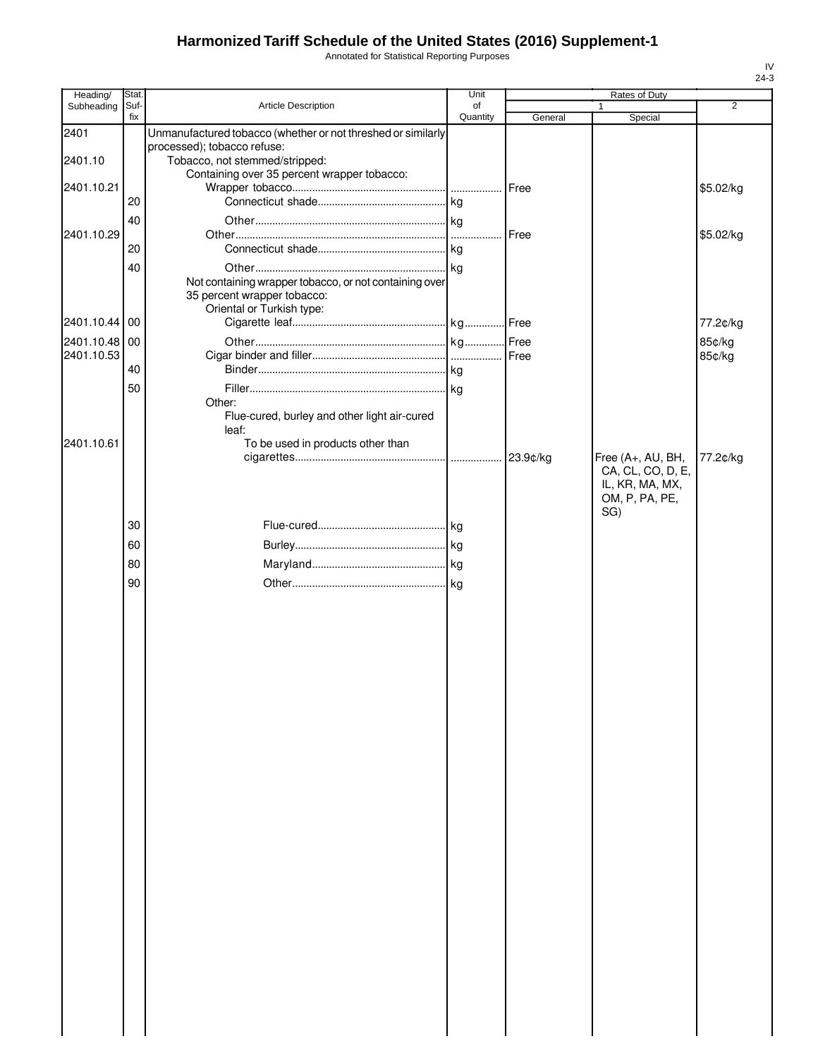Annotated for Statistical Reporting Purposes

| Heading/      | Stat.       |                                                              | Unit           |             | Rates of Duty         |                  |
|---------------|-------------|--------------------------------------------------------------|----------------|-------------|-----------------------|------------------|
| Subheading    | Suf-<br>fix | <b>Article Description</b>                                   | of<br>Quantity | General     | Special               | $\overline{2}$   |
| 2401          |             | Unmanufactured tobacco (whether or not threshed or similarly |                |             |                       |                  |
|               |             | processed); tobacco refuse:                                  |                |             |                       |                  |
| 2401.10       |             | Tobacco, not stemmed/stripped:                               |                |             |                       |                  |
|               |             | Containing over 35 percent wrapper tobacco:                  |                |             |                       |                  |
| 2401.10.21    | 20          |                                                              |                |             |                       | \$5.02/kg        |
|               | 40          |                                                              |                |             |                       |                  |
| 2401.10.29    |             |                                                              | .              | <b>Free</b> |                       | \$5.02/kg        |
|               | 20          |                                                              |                |             |                       |                  |
|               | 40          |                                                              |                |             |                       |                  |
|               |             | Not containing wrapper tobacco, or not containing over       |                |             |                       |                  |
|               |             | 35 percent wrapper tobacco:                                  |                |             |                       |                  |
| 2401.10.44 00 |             | Oriental or Turkish type:                                    |                |             |                       | 77.2¢/kg         |
| 2401.10.48 00 |             |                                                              |                |             |                       |                  |
| 2401.10.53    |             |                                                              |                |             |                       | 85¢/kg<br>85¢/kg |
|               | 40          |                                                              |                |             |                       |                  |
|               | 50          |                                                              |                |             |                       |                  |
|               |             | Other:                                                       |                |             |                       |                  |
|               |             | Flue-cured, burley and other light air-cured                 |                |             |                       |                  |
| 2401.10.61    |             | leaf:<br>To be used in products other than                   |                |             |                       |                  |
|               |             |                                                              |                |             | Free (A+, AU, BH,     | 77.2¢/kg         |
|               |             |                                                              |                |             | CA, CL, CO, D, E,     |                  |
|               |             |                                                              |                |             | IL, KR, MA, MX,       |                  |
|               |             |                                                              |                |             | OM, P, PA, PE,<br>SG) |                  |
|               | 30          |                                                              |                |             |                       |                  |
|               | 60          |                                                              |                |             |                       |                  |
|               | 80          |                                                              |                |             |                       |                  |
|               |             |                                                              |                |             |                       |                  |
|               | 90          |                                                              |                |             |                       |                  |
|               |             |                                                              |                |             |                       |                  |
|               |             |                                                              |                |             |                       |                  |
|               |             |                                                              |                |             |                       |                  |
|               |             |                                                              |                |             |                       |                  |
|               |             |                                                              |                |             |                       |                  |
|               |             |                                                              |                |             |                       |                  |
|               |             |                                                              |                |             |                       |                  |
|               |             |                                                              |                |             |                       |                  |
|               |             |                                                              |                |             |                       |                  |
|               |             |                                                              |                |             |                       |                  |
|               |             |                                                              |                |             |                       |                  |
|               |             |                                                              |                |             |                       |                  |
|               |             |                                                              |                |             |                       |                  |
|               |             |                                                              |                |             |                       |                  |
|               |             |                                                              |                |             |                       |                  |
|               |             |                                                              |                |             |                       |                  |
|               |             |                                                              |                |             |                       |                  |
|               |             |                                                              |                |             |                       |                  |
|               |             |                                                              |                |             |                       |                  |
|               |             |                                                              |                |             |                       |                  |
|               |             |                                                              |                |             |                       |                  |
|               |             |                                                              |                |             |                       |                  |
|               |             |                                                              |                |             |                       |                  |
|               |             |                                                              |                |             |                       |                  |
|               |             |                                                              |                |             |                       |                  |
|               |             |                                                              |                |             |                       |                  |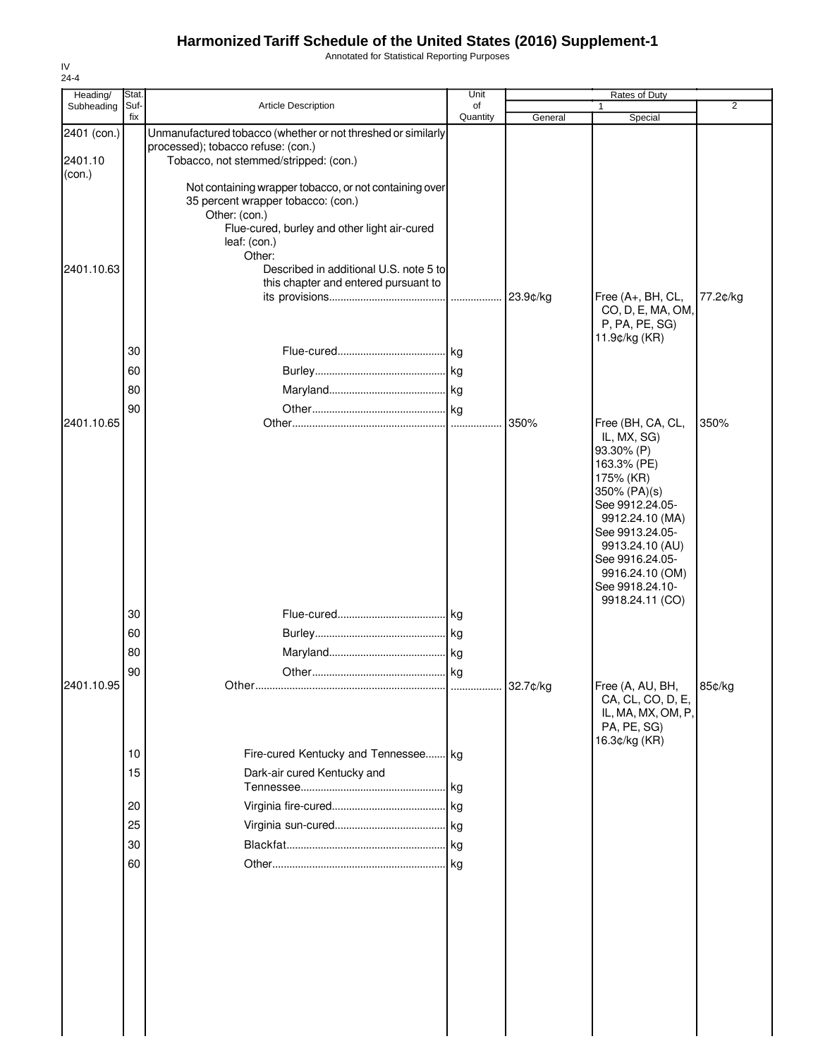Annotated for Statistical Reporting Purposes

| Heading/    | Stat.       |                                                                             | Unit           |         | <b>Rates of Duty</b>                |                |
|-------------|-------------|-----------------------------------------------------------------------------|----------------|---------|-------------------------------------|----------------|
| Subheading  | Suf-<br>fix | <b>Article Description</b>                                                  | of<br>Quantity | General | 1<br>Special                        | $\overline{2}$ |
| 2401 (con.) |             | Unmanufactured tobacco (whether or not threshed or similarly                |                |         |                                     |                |
| 2401.10     |             | processed); tobacco refuse: (con.)<br>Tobacco, not stemmed/stripped: (con.) |                |         |                                     |                |
| (con.)      |             |                                                                             |                |         |                                     |                |
|             |             | Not containing wrapper tobacco, or not containing over                      |                |         |                                     |                |
|             |             | 35 percent wrapper tobacco: (con.)<br>Other: (con.)                         |                |         |                                     |                |
|             |             | Flue-cured, burley and other light air-cured                                |                |         |                                     |                |
|             |             | leaf: (con.)                                                                |                |         |                                     |                |
| 2401.10.63  |             | Other:<br>Described in additional U.S. note 5 to                            |                |         |                                     |                |
|             |             | this chapter and entered pursuant to                                        |                |         |                                     |                |
|             |             |                                                                             |                |         | Free (A+, BH, CL,                   | 77.2¢/kg       |
|             |             |                                                                             |                |         | CO, D, E, MA, OM,<br>P, PA, PE, SG) |                |
|             |             |                                                                             |                |         | 11.9¢/kg (KR)                       |                |
|             | 30          |                                                                             |                |         |                                     |                |
|             | 60          |                                                                             |                |         |                                     |                |
|             | 80          |                                                                             |                |         |                                     |                |
|             | 90          |                                                                             |                |         |                                     |                |
| 2401.10.65  |             |                                                                             |                | 350%    | Free (BH, CA, CL,                   | 350%           |
|             |             |                                                                             |                |         | IL, MX, SG)<br>93.30% (P)           |                |
|             |             |                                                                             |                |         | 163.3% (PE)                         |                |
|             |             |                                                                             |                |         | 175% (KR)                           |                |
|             |             |                                                                             |                |         | 350% (PA)(s)<br>See 9912.24.05-     |                |
|             |             |                                                                             |                |         | 9912.24.10 (MA)                     |                |
|             |             |                                                                             |                |         | See 9913.24.05-                     |                |
|             |             |                                                                             |                |         | 9913.24.10 (AU)<br>See 9916.24.05-  |                |
|             |             |                                                                             |                |         | 9916.24.10 (OM)                     |                |
|             |             |                                                                             |                |         | See 9918.24.10-<br>9918.24.11 (CO)  |                |
|             | 30          |                                                                             |                |         |                                     |                |
|             | 60          |                                                                             |                |         |                                     |                |
|             | 80          |                                                                             |                |         |                                     |                |
|             | 90          |                                                                             |                |         |                                     |                |
| 2401.10.95  |             |                                                                             |                |         | Free (A, AU, BH,                    | 85¢/kg         |
|             |             |                                                                             |                |         | CA, CL, CO, D, E,                   |                |
|             |             |                                                                             |                |         | IL, MA, MX, OM, P,<br>PA, PE, SG)   |                |
|             |             |                                                                             |                |         | 16.3¢/kg (KR)                       |                |
|             | 10          | Fire-cured Kentucky and Tennessee kg                                        |                |         |                                     |                |
|             | 15          | Dark-air cured Kentucky and                                                 |                |         |                                     |                |
|             |             |                                                                             |                |         |                                     |                |
|             | 20          |                                                                             |                |         |                                     |                |
|             | 25          |                                                                             |                |         |                                     |                |
|             | 30          |                                                                             |                |         |                                     |                |
|             | 60          |                                                                             |                |         |                                     |                |
|             |             |                                                                             |                |         |                                     |                |
|             |             |                                                                             |                |         |                                     |                |
|             |             |                                                                             |                |         |                                     |                |
|             |             |                                                                             |                |         |                                     |                |
|             |             |                                                                             |                |         |                                     |                |
|             |             |                                                                             |                |         |                                     |                |
|             |             |                                                                             |                |         |                                     |                |
|             |             |                                                                             |                |         |                                     |                |
|             |             |                                                                             |                |         |                                     |                |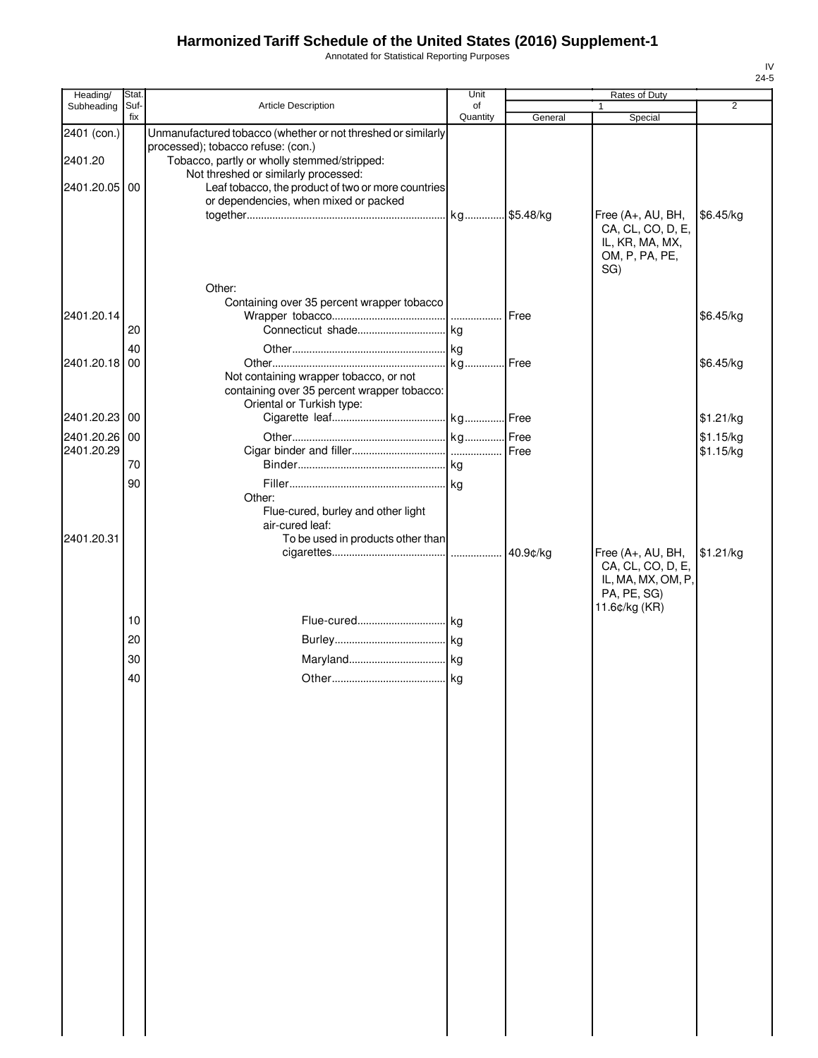Annotated for Statistical Reporting Purposes

| Heading/               | Stat.       |                                                                                                                                                   | Unit           |         | Rates of Duty                                                                      |                |
|------------------------|-------------|---------------------------------------------------------------------------------------------------------------------------------------------------|----------------|---------|------------------------------------------------------------------------------------|----------------|
| Subheading             | Suf-<br>fix | Article Description                                                                                                                               | of<br>Quantity | General | 1<br>Special                                                                       | $\overline{2}$ |
| 2401 (con.)<br>2401.20 |             | Unmanufactured tobacco (whether or not threshed or similarly<br>processed); tobacco refuse: (con.)<br>Tobacco, partly or wholly stemmed/stripped: |                |         |                                                                                    |                |
| 2401.20.05 00          |             | Not threshed or similarly processed:<br>Leaf tobacco, the product of two or more countries<br>or dependencies, when mixed or packed               |                |         |                                                                                    |                |
|                        |             | Other:                                                                                                                                            |                |         | Free (A+, AU, BH,<br>CA, CL, CO, D, E,<br>IL, KR, MA, MX,<br>OM, P, PA, PE,<br>SG) | \$6.45/kg      |
| 2401.20.14             |             | Containing over 35 percent wrapper tobacco                                                                                                        |                |         |                                                                                    | \$6.45/kg      |
|                        | 20          |                                                                                                                                                   |                |         |                                                                                    |                |
|                        | 40          |                                                                                                                                                   |                |         |                                                                                    |                |
| 2401.20.18 00          |             | Not containing wrapper tobacco, or not<br>containing over 35 percent wrapper tobacco:<br>Oriental or Turkish type:                                |                |         |                                                                                    | \$6.45/kg      |
| 2401.20.23 00          |             |                                                                                                                                                   |                |         |                                                                                    | \$1.21/kg      |
| 2401.20.26 00          |             |                                                                                                                                                   |                |         |                                                                                    | \$1.15/kg      |
| 2401.20.29             |             |                                                                                                                                                   |                |         |                                                                                    | \$1.15/kg      |
|                        | 70          |                                                                                                                                                   |                |         |                                                                                    |                |
|                        | 90          | Other:<br>Flue-cured, burley and other light<br>air-cured leaf:                                                                                   |                |         |                                                                                    |                |
| 2401.20.31             |             | To be used in products other than                                                                                                                 |                |         | Free (A+, AU, BH,                                                                  | \$1.21/kg      |
|                        | 10          |                                                                                                                                                   |                |         | CA, CL, CO, D, E,<br>IL, MA, MX, OM, P,<br>PA, PE, SG)<br>11.6¢/kg (KR)            |                |
|                        |             |                                                                                                                                                   |                |         |                                                                                    |                |
|                        | 20          |                                                                                                                                                   |                |         |                                                                                    |                |
|                        | 30          |                                                                                                                                                   |                |         |                                                                                    |                |
|                        | 40          |                                                                                                                                                   |                |         |                                                                                    |                |
|                        |             |                                                                                                                                                   |                |         |                                                                                    |                |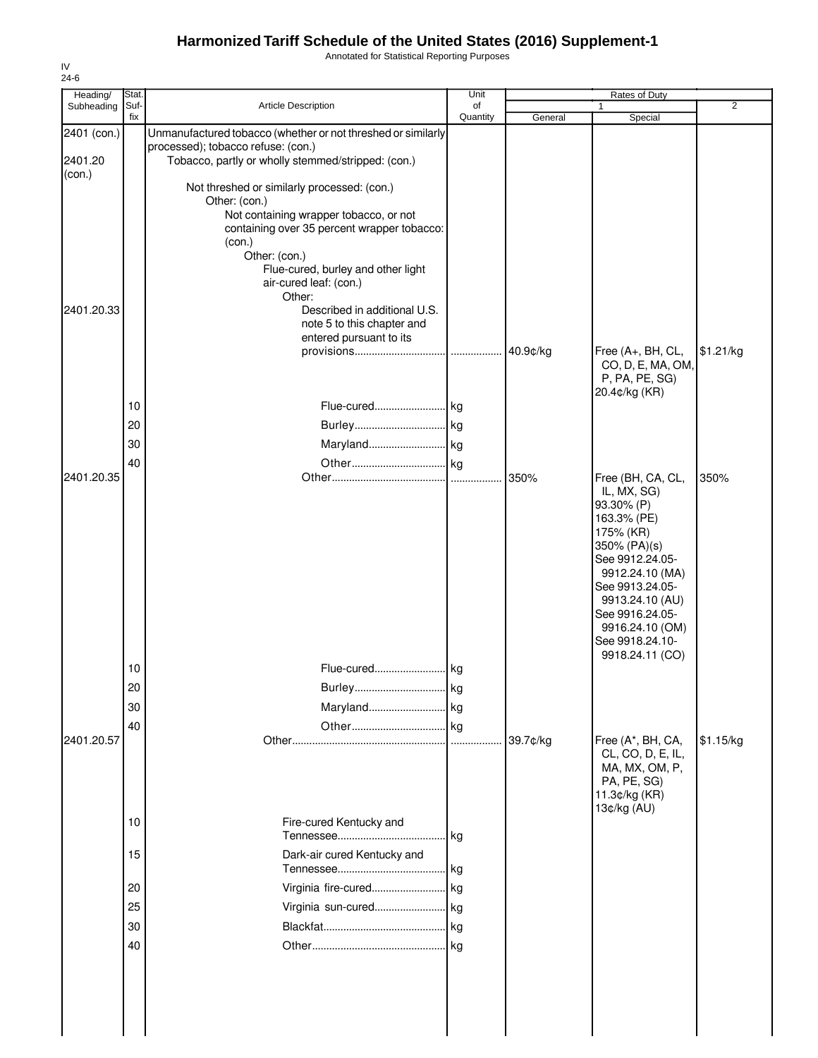Annotated for Statistical Reporting Purposes

| Heading/                         | Stat.                |                                                                                                                                                                                                                                                  | Unit           |          | Rates of Duty                                                                                                                                                                                                                                      |                |
|----------------------------------|----------------------|--------------------------------------------------------------------------------------------------------------------------------------------------------------------------------------------------------------------------------------------------|----------------|----------|----------------------------------------------------------------------------------------------------------------------------------------------------------------------------------------------------------------------------------------------------|----------------|
| Subheading                       | Suf-<br>fix          | <b>Article Description</b>                                                                                                                                                                                                                       | of<br>Quantity | General  | 1<br>Special                                                                                                                                                                                                                                       | $\overline{2}$ |
| 2401 (con.)<br>2401.20<br>(con.) |                      | Unmanufactured tobacco (whether or not threshed or similarly<br>processed); tobacco refuse: (con.)<br>Tobacco, partly or wholly stemmed/stripped: (con.)                                                                                         |                |          |                                                                                                                                                                                                                                                    |                |
|                                  |                      | Not threshed or similarly processed: (con.)<br>Other: (con.)<br>Not containing wrapper tobacco, or not<br>containing over 35 percent wrapper tobacco:<br>(con.)<br>Other: (con.)<br>Flue-cured, burley and other light<br>air-cured leaf: (con.) |                |          |                                                                                                                                                                                                                                                    |                |
| 2401.20.33                       |                      | Other:<br>Described in additional U.S.<br>note 5 to this chapter and<br>entered pursuant to its                                                                                                                                                  |                | 40.9¢/kg | Free (A+, BH, CL,<br>CO, D, E, MA, OM,                                                                                                                                                                                                             | \$1.21/kg      |
|                                  | 10<br>20<br>30<br>40 | Flue-cured kg                                                                                                                                                                                                                                    |                |          | P, PA, PE, SG)<br>20.4¢/kg (KR)                                                                                                                                                                                                                    |                |
| 2401.20.35                       |                      |                                                                                                                                                                                                                                                  |                | 350%     | Free (BH, CA, CL,<br>IL, MX, SG)<br>93.30% (P)<br>163.3% (PE)<br>175% (KR)<br>350% (PA)(s)<br>See 9912.24.05-<br>9912.24.10 (MA)<br>See 9913.24.05-<br>9913.24.10 (AU)<br>See 9916.24.05-<br>9916.24.10 (OM)<br>See 9918.24.10-<br>9918.24.11 (CO) | 350%           |
|                                  | 10                   | Flue-cured                                                                                                                                                                                                                                       | kg             |          |                                                                                                                                                                                                                                                    |                |
|                                  | 20                   |                                                                                                                                                                                                                                                  |                |          |                                                                                                                                                                                                                                                    |                |
|                                  | 30                   |                                                                                                                                                                                                                                                  |                |          |                                                                                                                                                                                                                                                    |                |
| 2401.20.57                       | 40                   |                                                                                                                                                                                                                                                  |                | 39.7¢/kg | Free (A*, BH, CA,<br>CL, CO, D, E, IL,<br>MA, MX, OM, P,<br>PA, PE, SG)<br>11.3¢/kg (KR)<br>13¢/kg (AU)                                                                                                                                            | \$1.15/kg      |
|                                  | 10                   | Fire-cured Kentucky and                                                                                                                                                                                                                          |                |          |                                                                                                                                                                                                                                                    |                |
|                                  | 15                   | Dark-air cured Kentucky and                                                                                                                                                                                                                      | l kg           |          |                                                                                                                                                                                                                                                    |                |
|                                  | 20                   |                                                                                                                                                                                                                                                  |                |          |                                                                                                                                                                                                                                                    |                |
|                                  | 25                   | Virginia sun-cured                                                                                                                                                                                                                               | . kg           |          |                                                                                                                                                                                                                                                    |                |
|                                  | 30<br>40             |                                                                                                                                                                                                                                                  | kg             |          |                                                                                                                                                                                                                                                    |                |
|                                  |                      |                                                                                                                                                                                                                                                  |                |          |                                                                                                                                                                                                                                                    |                |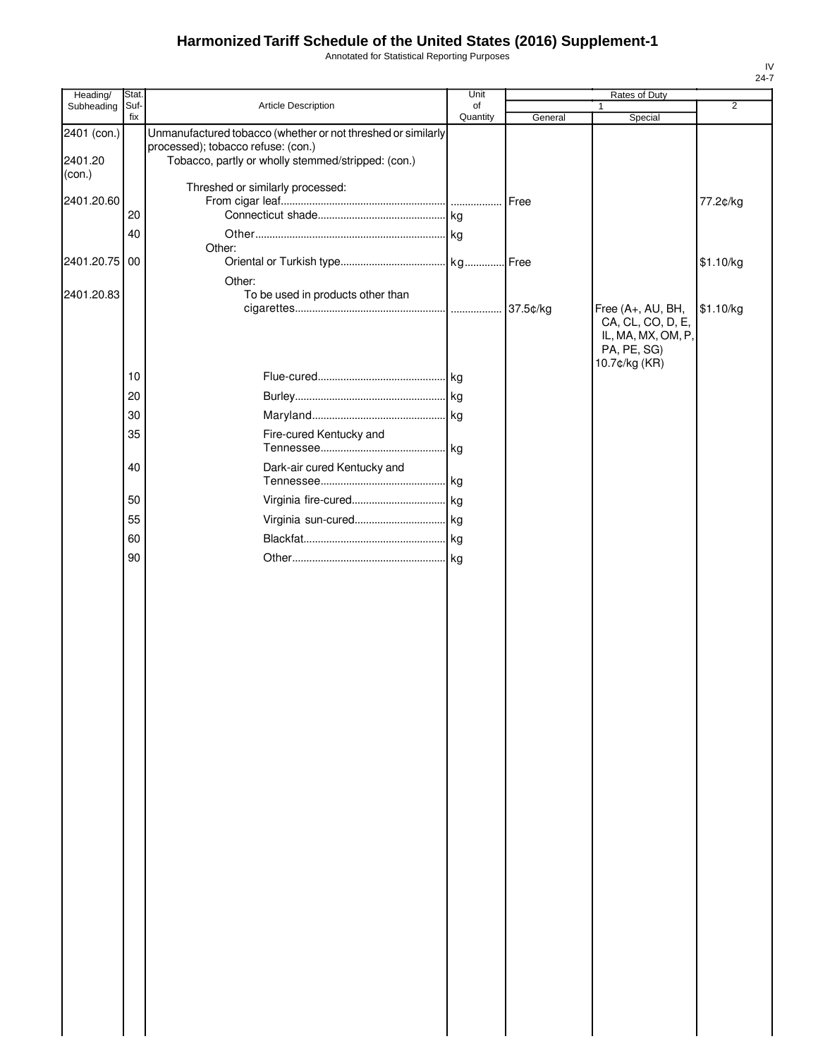Annotated for Statistical Reporting Purposes

| Heading/               | Stat.       |                                                                                                                                                          | Unit           |         | Rates of Duty                                                                                |                |
|------------------------|-------------|----------------------------------------------------------------------------------------------------------------------------------------------------------|----------------|---------|----------------------------------------------------------------------------------------------|----------------|
| Subheading             | Suf-<br>fix | Article Description                                                                                                                                      | of<br>Quantity | General | $\mathbf{1}$<br>Special                                                                      | $\overline{2}$ |
| 2401 (con.)<br>2401.20 |             | Unmanufactured tobacco (whether or not threshed or similarly<br>processed); tobacco refuse: (con.)<br>Tobacco, partly or wholly stemmed/stripped: (con.) |                |         |                                                                                              |                |
| (con.)                 |             | Threshed or similarly processed:                                                                                                                         |                |         |                                                                                              |                |
| 2401.20.60             |             |                                                                                                                                                          |                | Free    |                                                                                              | 77.2¢/kg       |
|                        | 20          |                                                                                                                                                          |                |         |                                                                                              |                |
|                        | 40          | Other:                                                                                                                                                   |                |         |                                                                                              |                |
| 2401.20.75             | 00          | Other:                                                                                                                                                   |                |         |                                                                                              | \$1.10/kg      |
| 2401.20.83             |             | To be used in products other than                                                                                                                        |                |         |                                                                                              |                |
|                        |             |                                                                                                                                                          |                |         | Free (A+, AU, BH,<br>CA, CL, CO, D, E,<br>IL, MA, MX, OM, P,<br>PA, PE, SG)<br>10.7¢/kg (KR) | \$1.10/kg      |
|                        | 10          |                                                                                                                                                          |                |         |                                                                                              |                |
|                        | 20          |                                                                                                                                                          |                |         |                                                                                              |                |
|                        | 30          |                                                                                                                                                          |                |         |                                                                                              |                |
|                        | 35          | Fire-cured Kentucky and                                                                                                                                  |                |         |                                                                                              |                |
|                        | 40          | Dark-air cured Kentucky and                                                                                                                              |                |         |                                                                                              |                |
|                        | 50          |                                                                                                                                                          |                |         |                                                                                              |                |
|                        | 55          |                                                                                                                                                          |                |         |                                                                                              |                |
|                        | 60          |                                                                                                                                                          |                |         |                                                                                              |                |
|                        | 90          |                                                                                                                                                          |                |         |                                                                                              |                |
|                        |             |                                                                                                                                                          |                |         |                                                                                              |                |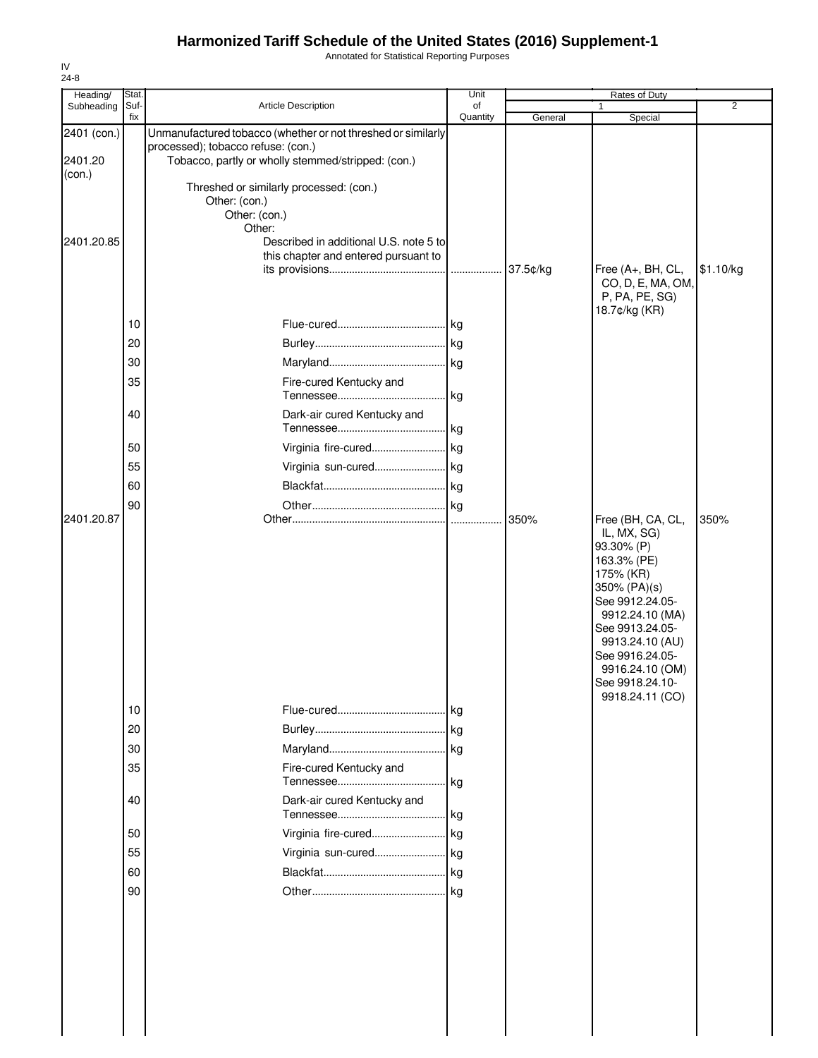Annotated for Statistical Reporting Purposes

| Heading/                         | Stat.       |                                                                                                                                                                                                     | Unit           |          | Rates of Duty                                                                                                                                                                                                                 |                |
|----------------------------------|-------------|-----------------------------------------------------------------------------------------------------------------------------------------------------------------------------------------------------|----------------|----------|-------------------------------------------------------------------------------------------------------------------------------------------------------------------------------------------------------------------------------|----------------|
| Subheading                       | Suf-<br>fix | <b>Article Description</b>                                                                                                                                                                          | οf<br>Quantity | General  | 1<br>Special                                                                                                                                                                                                                  | $\overline{2}$ |
| 2401 (con.)<br>2401.20<br>(con.) |             | Unmanufactured tobacco (whether or not threshed or similarly<br>processed); tobacco refuse: (con.)<br>Tobacco, partly or wholly stemmed/stripped: (con.)<br>Threshed or similarly processed: (con.) |                |          |                                                                                                                                                                                                                               |                |
| 2401.20.85                       |             | Other: (con.)<br>Other: (con.)<br>Other:<br>Described in additional U.S. note 5 to<br>this chapter and entered pursuant to                                                                          |                | 37.5¢/kg | Free (A+, BH, CL,<br>CO, D, E, MA, OM,<br>P, PA, PE, SG)                                                                                                                                                                      | \$1.10/kg      |
|                                  | 10          |                                                                                                                                                                                                     |                |          | 18.7¢/kg (KR)                                                                                                                                                                                                                 |                |
|                                  | 20          |                                                                                                                                                                                                     |                |          |                                                                                                                                                                                                                               |                |
|                                  | 30          |                                                                                                                                                                                                     |                |          |                                                                                                                                                                                                                               |                |
|                                  | 35          | Fire-cured Kentucky and                                                                                                                                                                             |                |          |                                                                                                                                                                                                                               |                |
|                                  | 40          | Dark-air cured Kentucky and                                                                                                                                                                         |                |          |                                                                                                                                                                                                                               |                |
|                                  | 50          |                                                                                                                                                                                                     |                |          |                                                                                                                                                                                                                               |                |
|                                  | 55          | Virginia sun-cured kg                                                                                                                                                                               |                |          |                                                                                                                                                                                                                               |                |
|                                  | 60          |                                                                                                                                                                                                     |                |          |                                                                                                                                                                                                                               |                |
|                                  | 90          |                                                                                                                                                                                                     |                |          |                                                                                                                                                                                                                               |                |
|                                  |             |                                                                                                                                                                                                     |                |          | IL, MX, SG)<br>93.30% (P)<br>163.3% (PE)<br>175% (KR)<br>350% (PA)(s)<br>See 9912.24.05-<br>9912.24.10 (MA)<br>See 9913.24.05-<br>9913.24.10 (AU)<br>See 9916.24.05-<br>9916.24.10 (OM)<br>See 9918.24.10-<br>9918.24.11 (CO) |                |
|                                  | 10          |                                                                                                                                                                                                     |                |          |                                                                                                                                                                                                                               |                |
|                                  | 20          |                                                                                                                                                                                                     |                |          |                                                                                                                                                                                                                               |                |
|                                  | 30          |                                                                                                                                                                                                     |                |          |                                                                                                                                                                                                                               |                |
|                                  | 35          | Fire-cured Kentucky and                                                                                                                                                                             |                |          |                                                                                                                                                                                                                               |                |
|                                  | 40          | Dark-air cured Kentucky and                                                                                                                                                                         |                |          |                                                                                                                                                                                                                               |                |
|                                  | 50          | Virginia fire-cured kg                                                                                                                                                                              |                |          |                                                                                                                                                                                                                               |                |
|                                  | 55          | Virginia sun-cured kg                                                                                                                                                                               |                |          |                                                                                                                                                                                                                               |                |
|                                  | 60          |                                                                                                                                                                                                     |                |          |                                                                                                                                                                                                                               |                |
|                                  | 90          |                                                                                                                                                                                                     |                |          |                                                                                                                                                                                                                               |                |
|                                  |             |                                                                                                                                                                                                     |                |          |                                                                                                                                                                                                                               |                |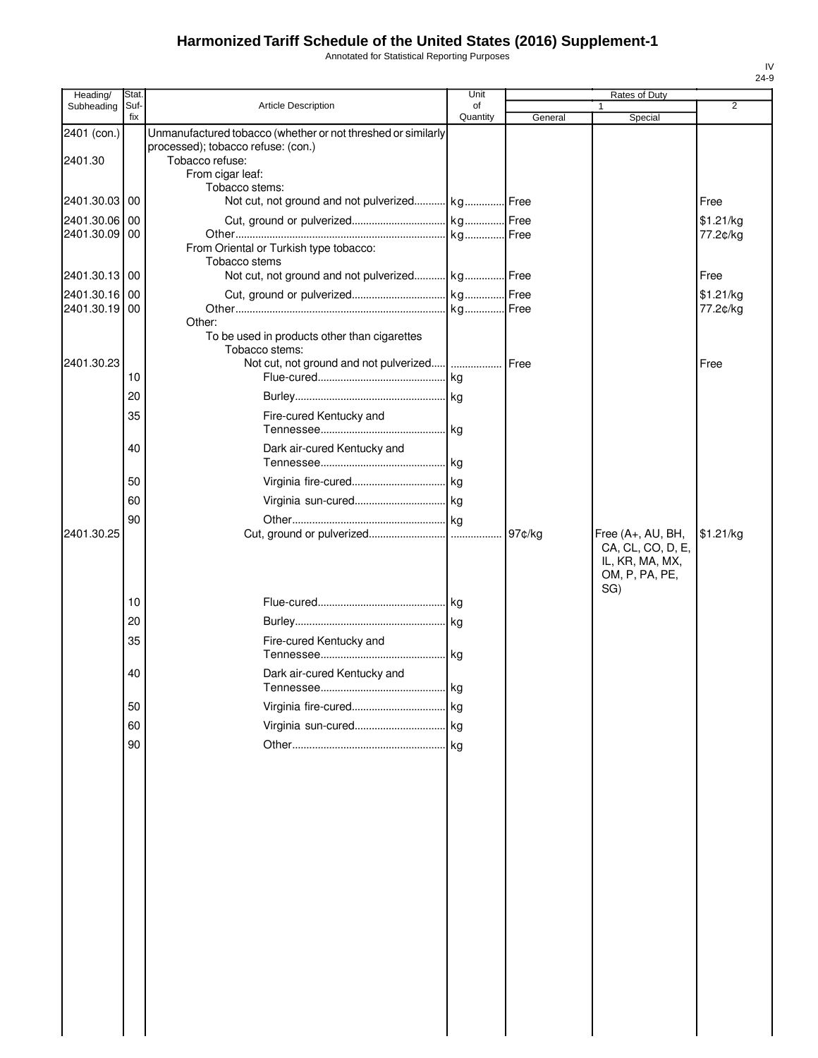Annotated for Statistical Reporting Purposes

| Heading/                       | Stat.       |                                                                                                                                           | Unit           |         | Rates of Duty                                                                      |                       |
|--------------------------------|-------------|-------------------------------------------------------------------------------------------------------------------------------------------|----------------|---------|------------------------------------------------------------------------------------|-----------------------|
| Subheading                     | Suf-<br>fix | <b>Article Description</b>                                                                                                                | of<br>Quantity | General | 1<br>Special                                                                       | $\overline{2}$        |
| 2401 (con.)<br>2401.30         |             | Unmanufactured tobacco (whether or not threshed or similarly<br>processed); tobacco refuse: (con.)<br>Tobacco refuse:<br>From cigar leaf: |                |         |                                                                                    |                       |
| 2401.30.03 00                  |             | Tobacco stems:<br>Not cut, not ground and not pulverized kg Free                                                                          |                |         |                                                                                    | Free                  |
| 2401.30.06 00<br>2401.30.09 00 |             | From Oriental or Turkish type tobacco:                                                                                                    |                |         |                                                                                    | \$1.21/kg<br>77.2¢/kg |
| 2401.30.13 00                  |             | Tobacco stems<br>Not cut, not ground and not pulverized kg Free                                                                           |                |         |                                                                                    | Free                  |
| 2401.30.16 00                  |             |                                                                                                                                           |                |         |                                                                                    | \$1.21/kg             |
| 2401.30.19 00                  |             |                                                                                                                                           |                |         |                                                                                    | 77.2¢/kg              |
| 2401.30.23                     | 10          | Other:<br>To be used in products other than cigarettes<br>Tobacco stems:                                                                  |                | Free    |                                                                                    | Free                  |
|                                | 20          |                                                                                                                                           |                |         |                                                                                    |                       |
|                                | 35          | Fire-cured Kentucky and                                                                                                                   |                |         |                                                                                    |                       |
|                                | 40          | Dark air-cured Kentucky and                                                                                                               |                |         |                                                                                    |                       |
|                                | 50          |                                                                                                                                           |                |         |                                                                                    |                       |
|                                | 60          |                                                                                                                                           |                |         |                                                                                    |                       |
|                                | 90          |                                                                                                                                           |                |         |                                                                                    |                       |
| 2401.30.25                     |             |                                                                                                                                           |                | 97¢/kg  | Free (A+, AU, BH,<br>CA, CL, CO, D, E,<br>IL, KR, MA, MX,<br>OM, P, PA, PE,<br>SG) | \$1.21/kg             |
|                                | 10          |                                                                                                                                           |                |         |                                                                                    |                       |
|                                | 20          |                                                                                                                                           |                |         |                                                                                    |                       |
|                                | 35          | Fire-cured Kentucky and                                                                                                                   |                |         |                                                                                    |                       |
|                                | 40          | Dark air-cured Kentucky and                                                                                                               | kg             |         |                                                                                    |                       |
|                                | 50          |                                                                                                                                           |                |         |                                                                                    |                       |
|                                | 60          |                                                                                                                                           |                |         |                                                                                    |                       |
|                                | 90          |                                                                                                                                           |                |         |                                                                                    |                       |
|                                |             |                                                                                                                                           |                |         |                                                                                    |                       |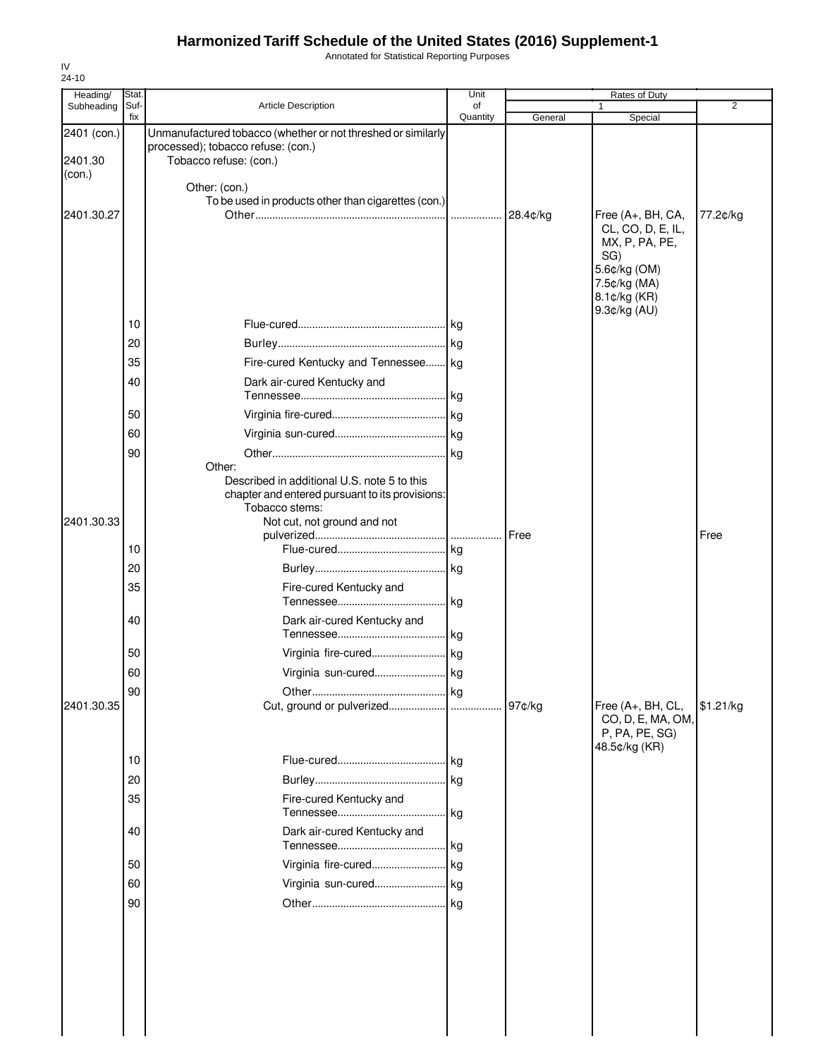Annotated for Statistical Reporting Purposes

| <b>Article Description</b>                                                                                                                      |                |                       |                                                                                       | 2         |
|-------------------------------------------------------------------------------------------------------------------------------------------------|----------------|-----------------------|---------------------------------------------------------------------------------------|-----------|
|                                                                                                                                                 | of<br>Quantity | General               | Special                                                                               |           |
| Unmanufactured tobacco (whether or not threshed or similarly<br>processed); tobacco refuse: (con.)<br>Tobacco refuse: (con.)                    |                |                       |                                                                                       |           |
| Other: (con.)<br>To be used in products other than cigarettes (con.)                                                                            |                | 28.4¢/kg              | Free (A+, BH, CA,<br>CL, CO, D, E, IL,                                                | 77.2¢/kg  |
|                                                                                                                                                 |                |                       | MX, P, PA, PE,<br>SG)<br>5.6¢/kg (OM)<br>7.5¢/kg (MA)<br>8.1¢/kg (KR)<br>9.3¢/kg (AU) |           |
|                                                                                                                                                 |                |                       |                                                                                       |           |
| Fire-cured Kentucky and Tennessee kg                                                                                                            |                |                       |                                                                                       |           |
| Dark air-cured Kentucky and                                                                                                                     |                |                       |                                                                                       |           |
|                                                                                                                                                 |                |                       |                                                                                       |           |
|                                                                                                                                                 |                |                       |                                                                                       |           |
|                                                                                                                                                 |                |                       |                                                                                       |           |
| Other:                                                                                                                                          |                |                       |                                                                                       |           |
| Described in additional U.S. note 5 to this<br>chapter and entered pursuant to its provisions:<br>Tobacco stems:<br>Not cut, not ground and not |                |                       |                                                                                       |           |
|                                                                                                                                                 |                | Free                  |                                                                                       | Free      |
|                                                                                                                                                 |                |                       |                                                                                       |           |
|                                                                                                                                                 |                |                       |                                                                                       |           |
| Fire-cured Kentucky and                                                                                                                         |                |                       |                                                                                       |           |
| Dark air-cured Kentucky and                                                                                                                     |                |                       |                                                                                       |           |
|                                                                                                                                                 |                |                       |                                                                                       |           |
| Virginia sun-cured                                                                                                                              | kg             |                       |                                                                                       |           |
|                                                                                                                                                 |                |                       |                                                                                       |           |
|                                                                                                                                                 |                | 97¢/kg                | Free (A+, BH, CL,<br>CO, D, E, MA, OM,<br>P, PA, PE, SG)<br>48.5¢/kg (KR)             | \$1.21/kg |
|                                                                                                                                                 |                |                       |                                                                                       |           |
|                                                                                                                                                 |                |                       |                                                                                       |           |
| Fire-cured Kentucky and                                                                                                                         |                |                       |                                                                                       |           |
| Dark air-cured Kentucky and                                                                                                                     |                |                       |                                                                                       |           |
|                                                                                                                                                 |                |                       |                                                                                       |           |
|                                                                                                                                                 |                |                       |                                                                                       |           |
|                                                                                                                                                 |                |                       |                                                                                       |           |
|                                                                                                                                                 |                | Virginia sun-cured kg |                                                                                       |           |

IV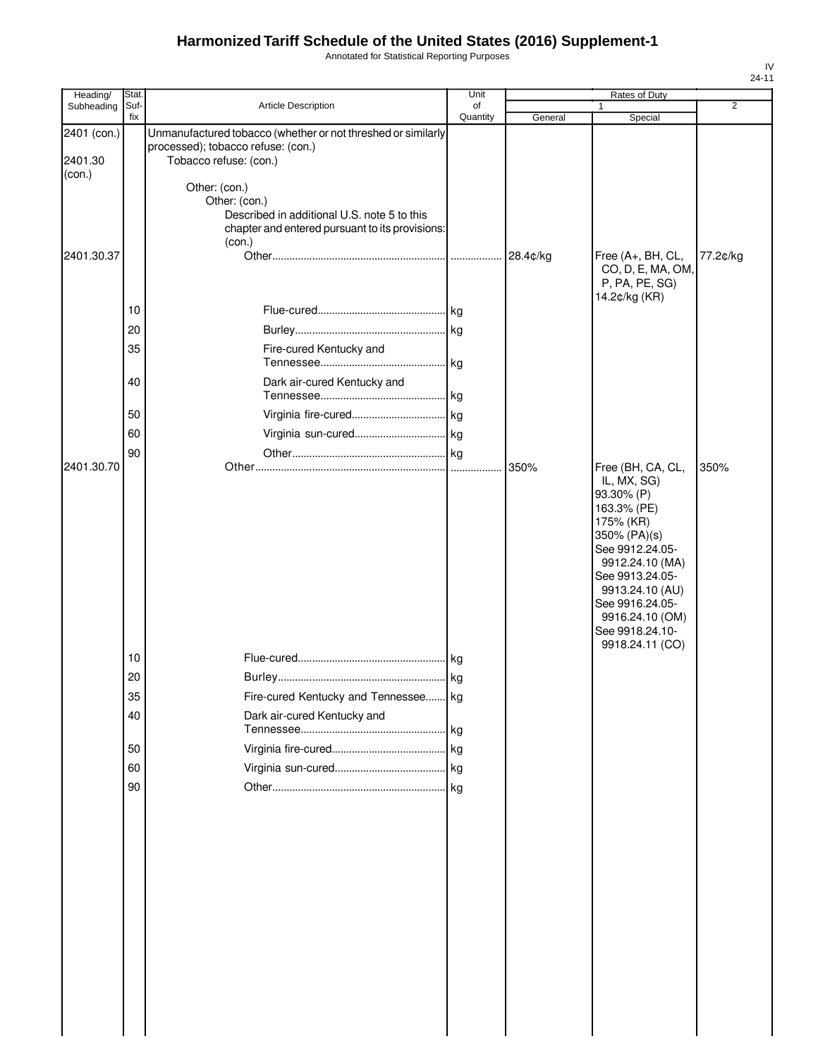Annotated for Statistical Reporting Purposes

| Heading/                         | Stat.       |                                                                                                                                            | Unit           |          | Rates of Duty                                                                                                                                                                                                                                      |                |
|----------------------------------|-------------|--------------------------------------------------------------------------------------------------------------------------------------------|----------------|----------|----------------------------------------------------------------------------------------------------------------------------------------------------------------------------------------------------------------------------------------------------|----------------|
| Subheading                       | Suf-<br>fix | Article Description                                                                                                                        | of<br>Quantity | General  | 1<br>Special                                                                                                                                                                                                                                       | $\overline{2}$ |
| 2401 (con.)<br>2401.30<br>(con.) |             | Unmanufactured tobacco (whether or not threshed or similarly<br>processed); tobacco refuse: (con.)<br>Tobacco refuse: (con.)               |                |          |                                                                                                                                                                                                                                                    |                |
|                                  |             | Other: (con.)<br>Other: (con.)<br>Described in additional U.S. note 5 to this<br>chapter and entered pursuant to its provisions:<br>(con.) |                |          |                                                                                                                                                                                                                                                    |                |
| 2401.30.37                       |             |                                                                                                                                            |                | 28.4¢/kg | Free (A+, BH, CL,<br>CO, D, E, MA, OM,<br>P, PA, PE, SG)                                                                                                                                                                                           | 77.2¢/kg       |
|                                  | 10          |                                                                                                                                            |                |          | 14.2¢/kg (KR)                                                                                                                                                                                                                                      |                |
|                                  | 20          |                                                                                                                                            |                |          |                                                                                                                                                                                                                                                    |                |
|                                  | 35          | Fire-cured Kentucky and                                                                                                                    |                |          |                                                                                                                                                                                                                                                    |                |
|                                  | 40          | Dark air-cured Kentucky and                                                                                                                |                |          |                                                                                                                                                                                                                                                    |                |
|                                  | 50          |                                                                                                                                            |                |          |                                                                                                                                                                                                                                                    |                |
|                                  | 60          |                                                                                                                                            |                |          |                                                                                                                                                                                                                                                    |                |
| 2401.30.70                       | 90          |                                                                                                                                            |                | 350%     |                                                                                                                                                                                                                                                    | 350%           |
|                                  |             |                                                                                                                                            |                |          | Free (BH, CA, CL,<br>IL, MX, SG)<br>93.30% (P)<br>163.3% (PE)<br>175% (KR)<br>350% (PA)(s)<br>See 9912.24.05-<br>9912.24.10 (MA)<br>See 9913.24.05-<br>9913.24.10 (AU)<br>See 9916.24.05-<br>9916.24.10 (OM)<br>See 9918.24.10-<br>9918.24.11 (CO) |                |
|                                  | 10<br>20    |                                                                                                                                            |                |          |                                                                                                                                                                                                                                                    |                |
|                                  | 35          | Fire-cured Kentucky and Tennessee kg                                                                                                       |                |          |                                                                                                                                                                                                                                                    |                |
|                                  | 40          | Dark air-cured Kentucky and                                                                                                                |                |          |                                                                                                                                                                                                                                                    |                |
|                                  | 50          |                                                                                                                                            |                |          |                                                                                                                                                                                                                                                    |                |
|                                  | 60          |                                                                                                                                            |                |          |                                                                                                                                                                                                                                                    |                |
|                                  | 90          |                                                                                                                                            |                |          |                                                                                                                                                                                                                                                    |                |
|                                  |             |                                                                                                                                            |                |          |                                                                                                                                                                                                                                                    |                |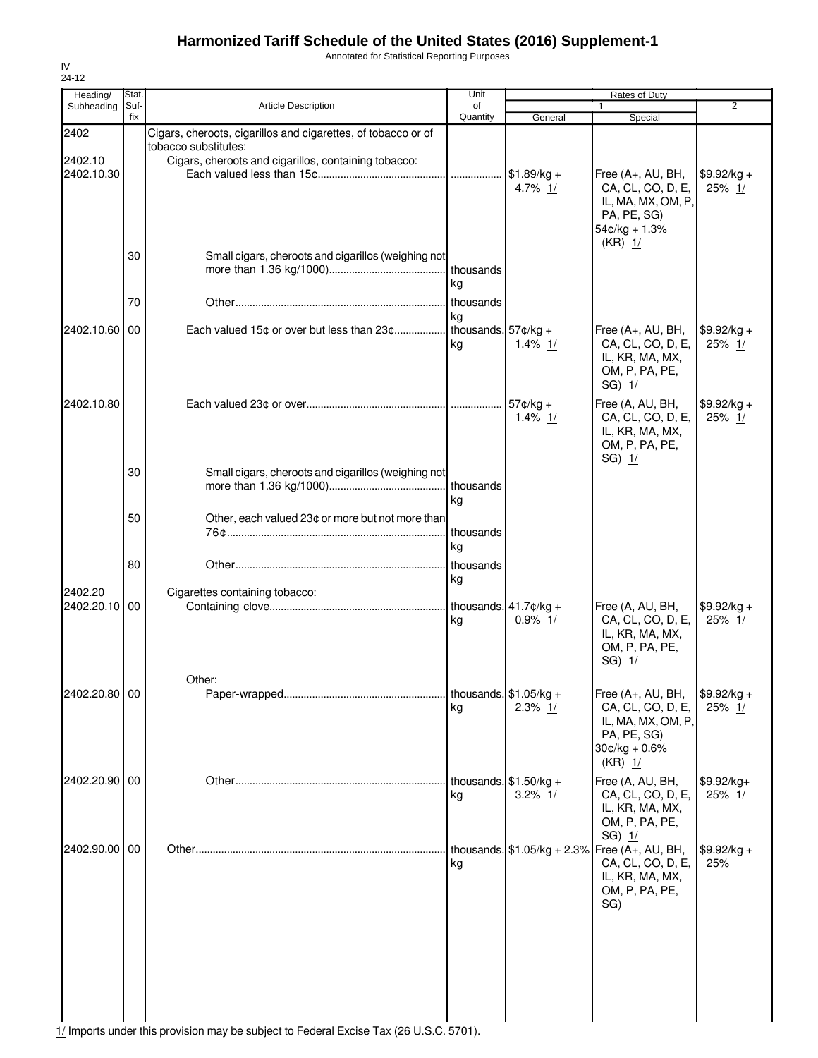Annotated for Statistical Reporting Purposes

| General<br>$$1.89/kg +$<br>4.7% 1/     | Special<br>Free (A+, AU, BH,<br>CA, CL, CO, D, E,<br>IL, MA, MX, OM, P,                  | 2<br>$$9.92/kg +$                                                                                                                         |
|----------------------------------------|------------------------------------------------------------------------------------------|-------------------------------------------------------------------------------------------------------------------------------------------|
|                                        |                                                                                          |                                                                                                                                           |
|                                        |                                                                                          |                                                                                                                                           |
|                                        |                                                                                          |                                                                                                                                           |
|                                        | PA, PE, SG)<br>$54¢/kg + 1.3%$                                                           | 25% 1/                                                                                                                                    |
|                                        |                                                                                          |                                                                                                                                           |
|                                        |                                                                                          |                                                                                                                                           |
| thousands. $57¢/kg +$<br>$1.4\%$ 1/    | CA, CL, CO, D, E,<br>IL, KR, MA, MX,<br>OM, P, PA, PE,<br>$SG$ ) $1/$                    | $$9.92/kg +$<br>25% 1/                                                                                                                    |
| $57¢/kg +$<br>$1.4\%$ 1/               | Free (A, AU, BH,<br>CA, CL, CO, D, E,<br>IL, KR, MA, MX,<br>OM, P, PA, PE,<br>$SG)$ $1/$ | $$9.92/kg +$<br>25% $1/$                                                                                                                  |
|                                        |                                                                                          |                                                                                                                                           |
|                                        |                                                                                          |                                                                                                                                           |
|                                        |                                                                                          |                                                                                                                                           |
| thousands. $41.7$ ¢/kg +<br>$0.9\%$ 1/ | CA, CL, CO, D, E,<br>IL, KR, MA, MX,<br>OM, P, PA, PE,<br>$SG$ ) $1/$                    | $$9.92/kg +$<br>25% 1/                                                                                                                    |
| thousands. $$1.05/kg +$<br>$2.3\%$ 1/  | CA, CL, CO, D, E,<br>IL, MA, MX, OM, P,<br>PA, PE, SG)<br>$30¢/kg + 0.6%$<br>$(KR)$ 1/   | \$9.92/kg +<br>25% 1/                                                                                                                     |
| thousands. $$1.50/kg +$<br>3.2% $1/$   | Free (A, AU, BH,<br>CA, CL, CO, D, E,<br>IL, KR, MA, MX,<br>OM, P, PA, PE,               | $$9.92/kg+$<br>25% 1/                                                                                                                     |
|                                        | CA, CL, CO, D, E,<br>IL, KR, MA, MX,<br>OM, P, PA, PE,<br>SG)                            | $$9.92/kg +$<br>25%                                                                                                                       |
|                                        |                                                                                          | $(KR)$ 1/<br>Free (A+, AU, BH,<br>Free (A, AU, BH,<br>Free (A+, AU, BH,<br>$SG$ ) $1/$<br>thousands. $$1.05/kg + 2.3\%$ Free (A+, AU, BH, |

IV  $24-12$ 

1/ Imports under this provision may be subject to Federal Excise Tax (26 U.S.C. 5701).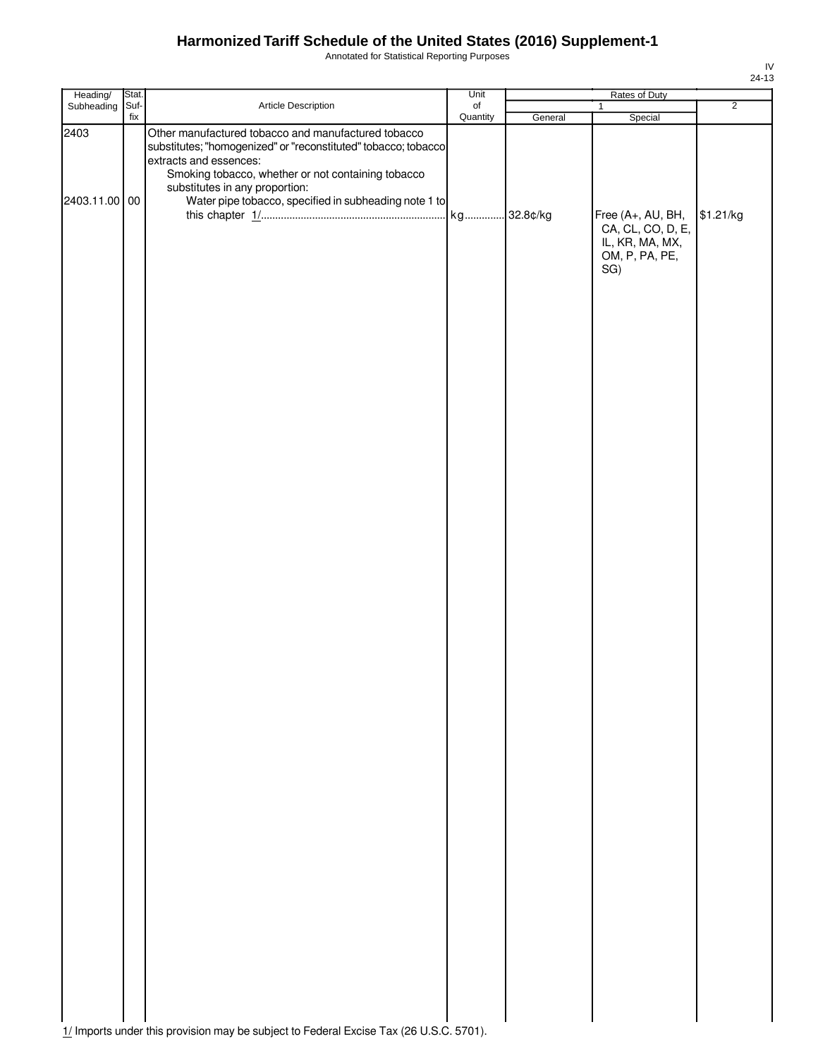Annotated for Statistical Reporting Purposes

| Heading/              | Stat. |                                                                                                                                                                                                                                                                                                  | Unit             |         | Rates of Duty                                                                                 |                |
|-----------------------|-------|--------------------------------------------------------------------------------------------------------------------------------------------------------------------------------------------------------------------------------------------------------------------------------------------------|------------------|---------|-----------------------------------------------------------------------------------------------|----------------|
| Subheading            | Suf-  | Article Description                                                                                                                                                                                                                                                                              | $_{\mathsf{of}}$ |         | $\mathbf{1}$                                                                                  | $\overline{2}$ |
| 2403<br>2403.11.00 00 | fix   | Other manufactured tobacco and manufactured tobacco<br>substitutes; "homogenized" or "reconstituted" tobacco; tobacco<br>extracts and essences:<br>Smoking tobacco, whether or not containing tobacco<br>substitutes in any proportion:<br>Water pipe tobacco, specified in subheading note 1 to | Quantity         | General | Special<br>Free (A+, AU, BH,<br>CA, CL, CO, D, E,<br>IL, KR, MA, MX,<br>OM, P, PA, PE,<br>SG) | \$1.21/kg      |
|                       |       |                                                                                                                                                                                                                                                                                                  |                  |         |                                                                                               |                |
|                       |       |                                                                                                                                                                                                                                                                                                  |                  |         |                                                                                               |                |
|                       |       |                                                                                                                                                                                                                                                                                                  |                  |         |                                                                                               |                |
|                       |       |                                                                                                                                                                                                                                                                                                  |                  |         |                                                                                               |                |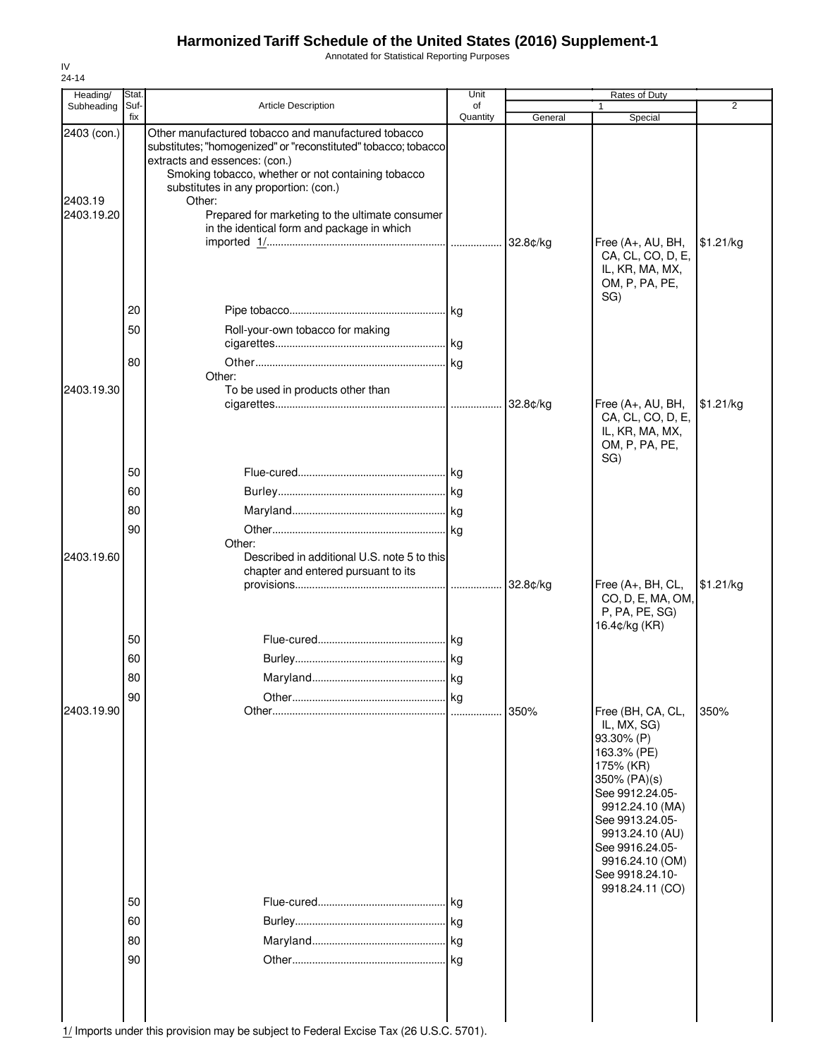Annotated for Statistical Reporting Purposes

| Heading/                             | Stat.                |                                                                                                                                                                                                                                                                                                                                                                  | Unit           |          | Rates of Duty                                                                                                                                                                                                                                      |                |
|--------------------------------------|----------------------|------------------------------------------------------------------------------------------------------------------------------------------------------------------------------------------------------------------------------------------------------------------------------------------------------------------------------------------------------------------|----------------|----------|----------------------------------------------------------------------------------------------------------------------------------------------------------------------------------------------------------------------------------------------------|----------------|
| Subheading                           | Suf-<br>fix          | Article Description                                                                                                                                                                                                                                                                                                                                              | of<br>Quantity | General  | 1<br>Special                                                                                                                                                                                                                                       | $\overline{2}$ |
| 2403 (con.)<br>2403.19<br>2403.19.20 |                      | Other manufactured tobacco and manufactured tobacco<br>substitutes; "homogenized" or "reconstituted" tobacco; tobacco<br>extracts and essences: (con.)<br>Smoking tobacco, whether or not containing tobacco<br>substitutes in any proportion: (con.)<br>Other:<br>Prepared for marketing to the ultimate consumer<br>in the identical form and package in which |                |          | Free (A+, AU, BH,<br>CA, CL, CO, D, E,                                                                                                                                                                                                             | \$1.21/kg      |
| 2403.19.30                           | 20<br>50<br>80       | Roll-your-own tobacco for making<br>Other:<br>To be used in products other than                                                                                                                                                                                                                                                                                  |                |          | IL, KR, MA, MX,<br>OM, P, PA, PE,<br>SG)<br>Free (A+, AU, BH,<br>CA, CL, CO, D, E,                                                                                                                                                                 | \$1.21/kg      |
| 2403.19.60                           | 50<br>60<br>80<br>90 | Other:<br>Described in additional U.S. note 5 to this<br>chapter and entered pursuant to its                                                                                                                                                                                                                                                                     |                |          | IL, KR, MA, MX,<br>OM, P, PA, PE,<br>SG)                                                                                                                                                                                                           |                |
|                                      | 50<br>60<br>80<br>90 |                                                                                                                                                                                                                                                                                                                                                                  | <b>kg</b>      | 32.8¢/kg | Free (A+, BH, CL,<br>CO, D, E, MA, OM,<br>P, PA, PE, SG)<br>16.4¢/kg (KR)                                                                                                                                                                          | \$1.21/kg      |
| 2403.19.90                           | 50<br>60             |                                                                                                                                                                                                                                                                                                                                                                  | l kg           | 350%     | Free (BH, CA, CL,<br>IL, MX, SG)<br>93.30% (P)<br>163.3% (PE)<br>175% (KR)<br>350% (PA)(s)<br>See 9912.24.05-<br>9912.24.10 (MA)<br>See 9913.24.05-<br>9913.24.10 (AU)<br>See 9916.24.05-<br>9916.24.10 (OM)<br>See 9918.24.10-<br>9918.24.11 (CO) | 350%           |
|                                      | 80<br>90             |                                                                                                                                                                                                                                                                                                                                                                  | kg             |          |                                                                                                                                                                                                                                                    |                |

IV 24-14

1/ Imports under this provision may be subject to Federal Excise Tax (26 U.S.C. 5701).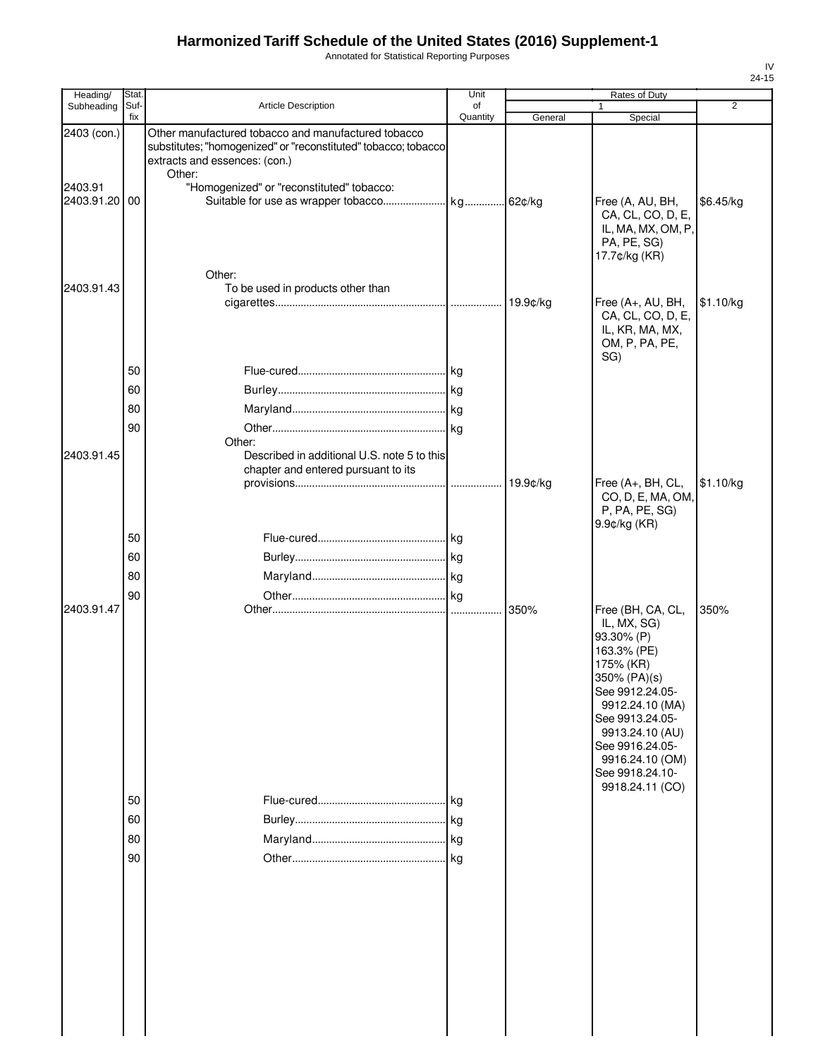Annotated for Statistical Reporting Purposes

| Heading/                                | Stat.                |                                                                                                                                                                                                               | Unit           |          | Rates of Duty                                                                                                                                                                                                                                      |                |
|-----------------------------------------|----------------------|---------------------------------------------------------------------------------------------------------------------------------------------------------------------------------------------------------------|----------------|----------|----------------------------------------------------------------------------------------------------------------------------------------------------------------------------------------------------------------------------------------------------|----------------|
| Subheading                              | Suf-<br>fix          | Article Description                                                                                                                                                                                           | of<br>Quantity | General  | 1<br>Special                                                                                                                                                                                                                                       | $\overline{2}$ |
| 2403 (con.)<br>2403.91<br>2403.91.20 00 |                      | Other manufactured tobacco and manufactured tobacco<br>substitutes; "homogenized" or "reconstituted" tobacco; tobacco<br>extracts and essences: (con.)<br>Other:<br>"Homogenized" or "reconstituted" tobacco: |                |          | Free (A, AU, BH,<br>CA, CL, CO, D, E,<br>IL, MA, MX, OM, P,<br>PA, PE, SG)<br>17.7¢/kg (KR)                                                                                                                                                        | \$6.45/kg      |
| 2403.91.43                              |                      | Other:<br>To be used in products other than                                                                                                                                                                   |                | 19.9¢/kg | Free (A+, AU, BH,<br>CA, CL, CO, D, E,<br>IL, KR, MA, MX,<br>OM, P, PA, PE,                                                                                                                                                                        | \$1.10/kg      |
| 2403.91.45                              | 50<br>60<br>80<br>90 | Other:<br>Described in additional U.S. note 5 to this<br>chapter and entered pursuant to its                                                                                                                  | kg             | 19.9¢/kg | SG)<br>Free (A+, BH, CL,<br>CO, D, E, MA, OM,<br>P, PA, PE, SG)                                                                                                                                                                                    | \$1.10/kg      |
|                                         | 50<br>60<br>80<br>90 |                                                                                                                                                                                                               |                |          | 9.9¢/kg (KR)                                                                                                                                                                                                                                       |                |
| 2403.91.47                              | 50<br>60<br>80<br>90 |                                                                                                                                                                                                               |                | 350%     | Free (BH, CA, CL,<br>IL, MX, SG)<br>93.30% (P)<br>163.3% (PE)<br>175% (KR)<br>350% (PA)(s)<br>See 9912.24.05-<br>9912.24.10 (MA)<br>See 9913.24.05-<br>9913.24.10 (AU)<br>See 9916.24.05-<br>9916.24.10 (OM)<br>See 9918.24.10-<br>9918.24.11 (CO) | 350%           |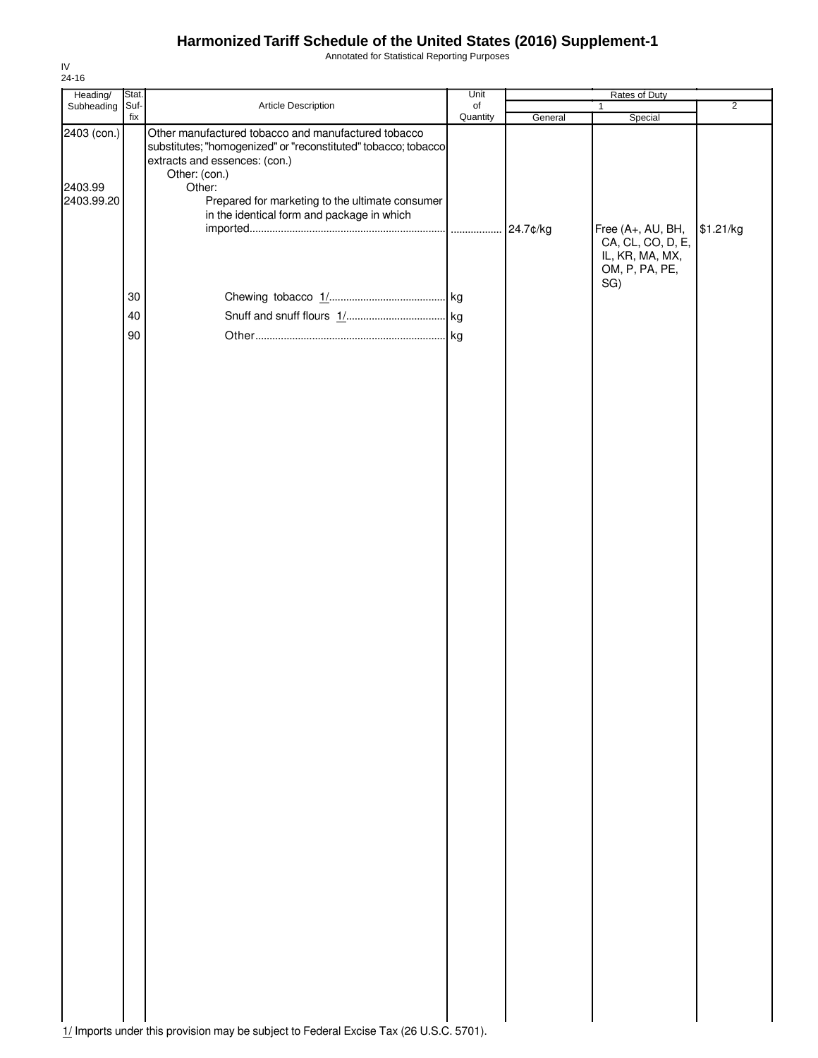Annotated for Statistical Reporting Purposes

| Heading/                             | Stat.       |                                                                                                                                                                                                                                                                                    | Unit           |          | Rates of Duty                            |                |
|--------------------------------------|-------------|------------------------------------------------------------------------------------------------------------------------------------------------------------------------------------------------------------------------------------------------------------------------------------|----------------|----------|------------------------------------------|----------------|
| Subheading                           | Suf-<br>fix | Article Description                                                                                                                                                                                                                                                                | of<br>Quantity | General  | 1<br>Special                             | $\overline{2}$ |
| 2403 (con.)<br>2403.99<br>2403.99.20 |             | Other manufactured tobacco and manufactured tobacco<br>substitutes; "homogenized" or "reconstituted" tobacco; tobacco<br>extracts and essences: (con.)<br>Other: (con.)<br>Other:<br>Prepared for marketing to the ultimate consumer<br>in the identical form and package in which |                | 24.7¢/kg | Free (A+, AU, BH,<br>CA, CL, CO, D, E,   | \$1.21/kg      |
|                                      |             |                                                                                                                                                                                                                                                                                    |                |          | IL, KR, MA, MX,<br>OM, P, PA, PE,<br>SG) |                |
|                                      | 30          |                                                                                                                                                                                                                                                                                    |                |          |                                          |                |
|                                      | 40          |                                                                                                                                                                                                                                                                                    |                |          |                                          |                |
|                                      | 90          |                                                                                                                                                                                                                                                                                    |                |          |                                          |                |
|                                      |             |                                                                                                                                                                                                                                                                                    |                |          |                                          |                |
|                                      |             |                                                                                                                                                                                                                                                                                    |                |          |                                          |                |

IV 24-16

1/ Imports under this provision may be subject to Federal Excise Tax (26 U.S.C. 5701).